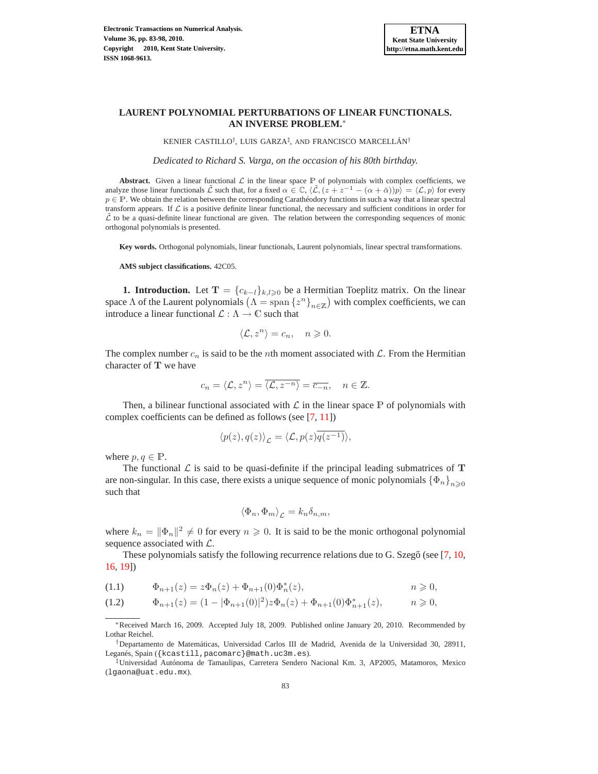# **LAURENT POLYNOMIAL PERTURBATIONS OF LINEAR FUNCTIONALS. AN INVERSE PROBLEM.**<sup>∗</sup>

KENIER CASTILLO† , LUIS GARZA‡ , AND FRANCISCO MARCELLÁN†

*Dedicated to Richard S. Varga, on the occasion of his 80th birthday.*

**Abstract.** Given a linear functional  $\mathcal{L}$  in the linear space  $\mathbb{P}$  of polynomials with complex coefficients, we analyze those linear functionals  $\tilde{\mathcal{L}}$  such that, for a fixed  $\alpha \in \mathbb{C}$ ,  $\langle \tilde{\mathcal{L}}$ ,  $(z + z^{-1} - (\alpha + \bar{\alpha}))p \rangle = \langle \mathcal{L}, p \rangle$  for every  $p \in P$ . We obtain the relation between the corresponding Carathéodory functions in such a way that a linear spectral transform appears. If  $\mathcal L$  is a positive definite linear functional, the necessary and sufficient conditions in order for  $\mathcal L$  to be a quasi-definite linear functional are given. The relation between the corresponding sequences of monic orthogonal polynomials is presented.

**Key words.** Orthogonal polynomials, linear functionals, Laurent polynomials, linear spectral transformations.

**AMS subject classifications.** 42C05.

**1. Introduction.** Let  $T = \{c_{k-1}\}_{k,l\geq 0}$  be a Hermitian Toeplitz matrix. On the linear space  $\Lambda$  of the Laurent polynomials  $(\Lambda = \text{span} \{z^n\}_{n \in \mathbb{Z}})$  with complex coefficients, we can introduce a linear functional  $\mathcal{L} : \Lambda \to \mathbb{C}$  such that

$$
\langle \mathcal{L}, z^n \rangle = c_n, \quad n \geqslant 0.
$$

The complex number  $c_n$  is said to be the *n*th moment associated with  $\mathcal{L}$ . From the Hermitian character of T we have

$$
c_n = \langle \mathcal{L}, z^n \rangle = \overline{\langle \mathcal{L}, z^{-n} \rangle} = \overline{c_{-n}}, \quad n \in \mathbb{Z}.
$$

Then, a bilinear functional associated with  $\mathcal L$  in the linear space  $\mathbb P$  of polynomials with complex coefficients can be defined as follows (see [\[7](#page-14-0), [11](#page-14-1)])

$$
\langle p(z), q(z) \rangle_{\mathcal{L}} = \langle \mathcal{L}, p(z) \overline{q(z^{-1})} \rangle,
$$

where  $p, q \in \mathbb{P}$ .

The functional  $\mathcal L$  is said to be quasi-definite if the principal leading submatrices of T are non-singular. In this case, there exists a unique sequence of monic polynomials  $\{\Phi_n\}_{n>0}$ such that

$$
\left\langle \Phi_n, \Phi_m \right\rangle_{\mathcal{L}} = k_n \delta_{n,m},
$$

where  $k_n = ||\Phi_n||^2 \neq 0$  for every  $n \geq 0$ . It is said to be the monic orthogonal polynomial sequence associated with  $\mathcal{L}$ .

These polynomials satisfy the following recurrence relations due to G. Szegő (see  $[7, 10, 7, 7, 7]$  $[7, 10, 7, 7, 7]$  $[7, 10, 7, 7, 7]$  $[7, 10, 7, 7, 7]$  $[7, 10, 7, 7, 7]$ ) [16,](#page-14-3) [19\]](#page-14-4))

<span id="page-0-0"></span>(1.1) 
$$
\Phi_{n+1}(z) = z\Phi_n(z) + \Phi_{n+1}(0)\Phi_n^*(z), \qquad n \geq 0,
$$

$$
(1.2) \t\t \Phi_{n+1}(z) = (1 - |\Phi_{n+1}(0)|^2) z \Phi_n(z) + \Phi_{n+1}(0) \Phi_{n+1}^*(z), \t\t n \ge 0,
$$

<sup>∗</sup>Received March 16, 2009. Accepted July 18, 2009. Published online January 20, 2010. Recommended by Lothar Reichel.

<sup>†</sup>Departamento de Matemáticas, Universidad Carlos III de Madrid, Avenida de la Universidad 30, 28911, Leganés, Spain ({kcastill,pacomarc}@math.uc3m.es).

<sup>‡</sup>Universidad Autónoma de Tamaulipas, Carretera Sendero Nacional Km. 3, AP2005, Matamoros, Mexico (lgaona@uat.edu.mx).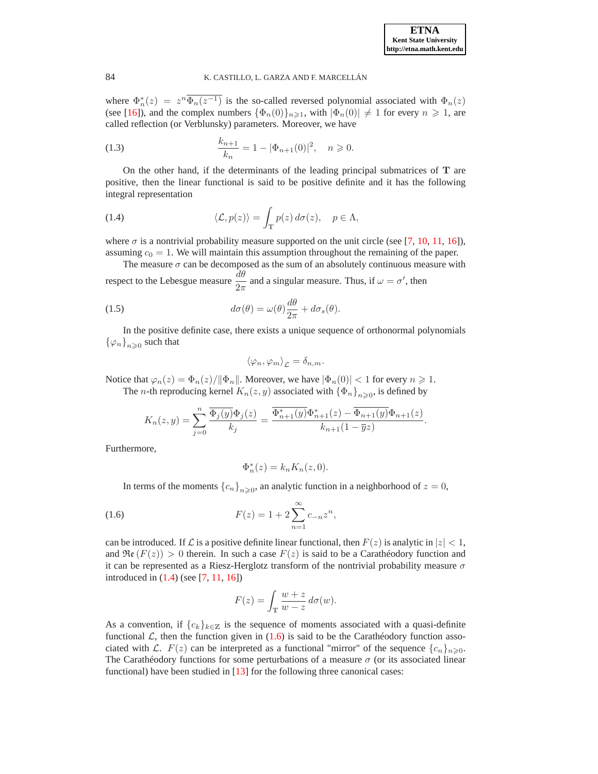where  $\Phi_n^*(z) = z^n \overline{\Phi_n(z^{-1})}$  is the so-called reversed polynomial associated with  $\Phi_n(z)$ (see [\[16](#page-14-3)]), and the complex numbers  $\{\Phi_n(0)\}_{n\geq 1}$ , with  $|\Phi_n(0)| \neq 1$  for every  $n \geq 1$ , are called reflection (or Verblunsky) parameters. Moreover, we have

<span id="page-1-3"></span>(1.3) 
$$
\frac{k_{n+1}}{k_n} = 1 - |\Phi_{n+1}(0)|^2, \quad n \geq 0.
$$

On the other hand, if the determinants of the leading principal submatrices of T are positive, then the linear functional is said to be positive definite and it has the following integral representation

<span id="page-1-0"></span>(1.4) 
$$
\langle \mathcal{L}, p(z) \rangle = \int_{\mathbb{T}} p(z) d\sigma(z), \quad p \in \Lambda,
$$

where  $\sigma$  is a nontrivial probability measure supported on the unit circle (see [\[7,](#page-14-0) [10,](#page-14-2) [11,](#page-14-1) [16\]](#page-14-3)), assuming  $c_0 = 1$ . We will maintain this assumption throughout the remaining of the paper.

The measure  $\sigma$  can be decomposed as the sum of an absolutely continuous measure with respect to the Lebesgue measure  $\frac{d\theta}{2\pi}$  and a singular measure. Thus, if  $\omega = \sigma'$ , then

<span id="page-1-2"></span>(1.5) 
$$
d\sigma(\theta) = \omega(\theta)\frac{d\theta}{2\pi} + d\sigma_s(\theta).
$$

In the positive definite case, there exists a unique sequence of orthonormal polynomials  ${\varphi_n}_{n\geqslant 0}$  such that

$$
\langle \varphi_n, \varphi_m \rangle_{\mathcal{L}} = \delta_{n,m}.
$$

Notice that  $\varphi_n(z) = \Phi_n(z)/\|\Phi_n\|$ . Moreover, we have  $|\Phi_n(0)| < 1$  for every  $n \ge 1$ . The *n*-th reproducing kernel  $K_n(z, y)$  associated with  $\{\Phi_n\}_{n \geq 0}$ , is defined by

$$
K_n(z,y) = \sum_{j=0}^n \frac{\overline{\Phi_j(y)} \Phi_j(z)}{k_j} = \frac{\overline{\Phi_{n+1}^*(y)} \Phi_{n+1}^*(z) - \overline{\Phi_{n+1}(y)} \Phi_{n+1}(z)}{k_{n+1}(1 - \overline{y}z)}.
$$

Furthermore,

$$
\Phi_n^*(z) = k_n K_n(z, 0).
$$

<span id="page-1-1"></span>In terms of the moments  ${c_n}_{n\geqslant 0}$ , an analytic function in a neighborhood of  $z = 0$ ,

,

(1.6) 
$$
F(z) = 1 + 2 \sum_{n=1}^{\infty} c_{-n} z^n
$$

can be introduced. If L is a positive definite linear functional, then  $F(z)$  is analytic in  $|z| < 1$ , and  $\Re(\mathcal{F}(z)) > 0$  therein. In such a case  $F(z)$  is said to be a Carathéodory function and it can be represented as a Riesz-Herglotz transform of the nontrivial probability measure  $\sigma$ introduced in [\(1.4\)](#page-1-0) (see [\[7,](#page-14-0) [11,](#page-14-1) [16\]](#page-14-3))

$$
F(z) = \int_{\mathbb{T}} \frac{w+z}{w-z} d\sigma(w).
$$

As a convention, if  ${c_k}_{k \in \mathbb{Z}}$  is the sequence of moments associated with a quasi-definite functional  $\mathcal{L}$ , then the function given in [\(1.6\)](#page-1-1) is said to be the Carathéodory function associated with L.  $F(z)$  can be interpreted as a functional "mirror" of the sequence  $\{c_n\}_{n\geq0}$ . The Carathéodory functions for some perturbations of a measure  $\sigma$  (or its associated linear functional) have been studied in [\[13](#page-14-5)] for the following three canonical cases: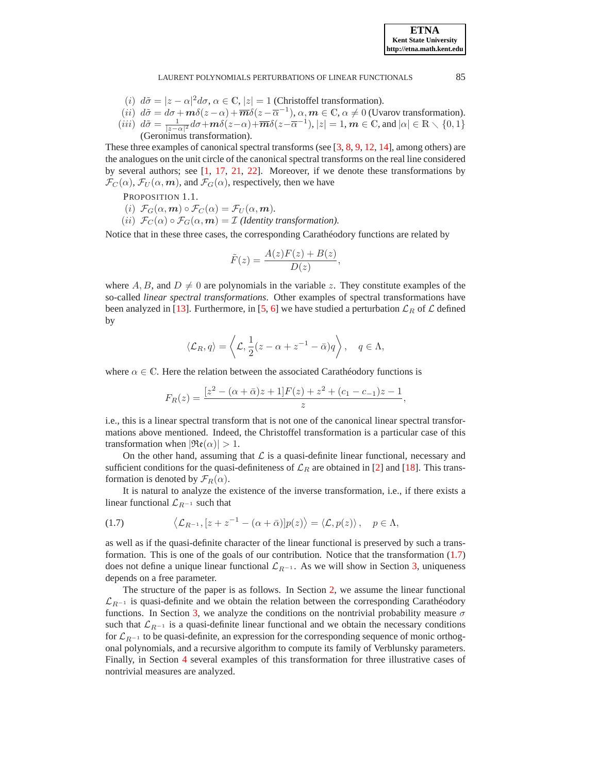#### LAURENT POLYNOMIALS PERTURBATIONS OF LINEAR FUNCTIONALS 85

**ETNA Kent State University http://etna.math.kent.edu**

- (i)  $d\tilde{\sigma} = |z \alpha|^2 d\sigma$ ,  $\alpha \in \mathbb{C}$ ,  $|z| = 1$  (Christoffel transformation).
- (ii)  $d\tilde{\sigma} = d\sigma + m\delta(z-\alpha) + \overline{m}\delta(z-\overline{\alpha}^{-1}), \alpha, m \in \mathbb{C}, \alpha \neq 0$  (Uvarov transformation).
- $(iii)$   $d\tilde{\sigma} = \frac{1}{|z-\alpha|^2}d\sigma + m\delta(z-\alpha) + \overline{m}\delta(z-\overline{\alpha}^{-1}), |z| = 1, m \in \mathbb{C}$ , and  $|\alpha| \in \mathbb{R} \setminus \{0,1\}$ (Geronimus transformation).

These three examples of canonical spectral transforms (see [\[3,](#page-14-6) [8](#page-14-7), [9,](#page-14-8) [12](#page-14-9), [14\]](#page-14-10), among others) are the analogues on the unit circle of the canonical spectral transforms on the real line considered by several authors; see [\[1](#page-14-11), [17,](#page-14-12) [21](#page-15-0), [22\]](#page-15-1). Moreover, if we denote these transformations by  $\mathcal{F}_C(\alpha)$ ,  $\mathcal{F}_U(\alpha, m)$ , and  $\mathcal{F}_G(\alpha)$ , respectively, then we have

PROPOSITION 1.1.

- (i)  $\mathcal{F}_G(\alpha, m) \circ \mathcal{F}_C(\alpha) = \mathcal{F}_U(\alpha, m)$ .
- (ii)  $\mathcal{F}_C(\alpha) \circ \mathcal{F}_G(\alpha, m) = \mathcal{I}$  (Identity transformation).

Notice that in these three cases, the corresponding Carathéodory functions are related by

$$
\tilde{F}(z) = \frac{A(z)F(z) + B(z)}{D(z)},
$$

where A, B, and  $D \neq 0$  are polynomials in the variable z. They constitute examples of the so-called *linear spectral transformations*. Other examples of spectral transformations have been analyzed in [\[13](#page-14-5)]. Furthermore, in [\[5](#page-14-13), [6](#page-14-14)] we have studied a perturbation  $\mathcal{L}_R$  of  $\mathcal L$  defined by

$$
\langle \mathcal{L}_R, q \rangle = \left\langle \mathcal{L}, \frac{1}{2}(z - \alpha + z^{-1} - \bar{\alpha})q \right\rangle, \quad q \in \Lambda,
$$

where  $\alpha \in \mathbb{C}$ . Here the relation between the associated Carathéodory functions is

$$
F_R(z) = \frac{[z^2 - (\alpha + \bar{\alpha})z + 1]F(z) + z^2 + (c_1 - c_{-1})z - 1}{z},
$$

i.e., this is a linear spectral transform that is not one of the canonical linear spectral transformations above mentioned. Indeed, the Christoffel transformation is a particular case of this transformation when  $|\Re(\alpha)| > 1$ .

On the other hand, assuming that  $\mathcal L$  is a quasi-definite linear functional, necessary and sufficient conditions for the quasi-definiteness of  $\mathcal{L}_R$  are obtained in [\[2](#page-14-15)] and [\[18](#page-14-16)]. This transformation is denoted by  $\mathcal{F}_R(\alpha)$ .

It is natural to analyze the existence of the inverse transformation, i.e., if there exists a linear functional  $\mathcal{L}_{R^{-1}}$  such that

<span id="page-2-0"></span>(1.7) 
$$
\langle \mathcal{L}_{R^{-1}}, [z+z^{-1}-(\alpha+\bar{\alpha})]p(z) \rangle = \langle \mathcal{L}, p(z) \rangle, \quad p \in \Lambda,
$$

as well as if the quasi-definite character of the linear functional is preserved by such a transformation. This is one of the goals of our contribution. Notice that the transformation  $(1.7)$ does not define a unique linear functional  $\mathcal{L}_{R^{-1}}$ . As we will show in Section [3,](#page-5-0) uniqueness depends on a free parameter.

The structure of the paper is as follows. In Section [2,](#page-3-0) we assume the linear functional  $\mathcal{L}_{R^{-1}}$  is quasi-definite and we obtain the relation between the corresponding Carathéodory functions. In Section [3,](#page-5-0) we analyze the conditions on the nontrivial probability measure  $\sigma$ such that  $\mathcal{L}_{R^{-1}}$  is a quasi-definite linear functional and we obtain the necessary conditions for  $\mathcal{L}_{R^{-1}}$  to be quasi-definite, an expression for the corresponding sequence of monic orthogonal polynomials, and a recursive algorithm to compute its family of Verblunsky parameters. Finally, in Section [4](#page-10-0) several examples of this transformation for three illustrative cases of nontrivial measures are analyzed.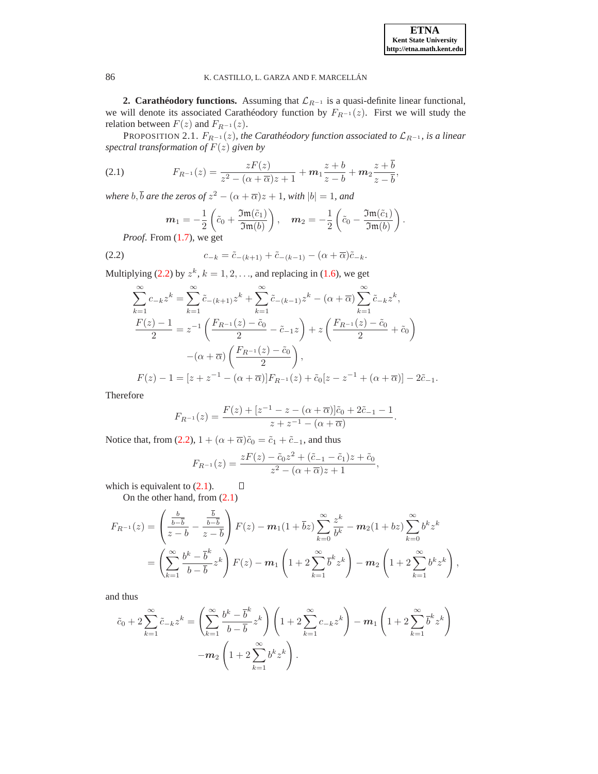<span id="page-3-0"></span>**2. Carathéodory functions.** Assuming that  $\mathcal{L}_{R^{-1}}$  is a quasi-definite linear functional, we will denote its associated Carathéodory function by  $F_{R^{-1}}(z)$ . First we will study the relation between  $F(z)$  and  $F_{R^{-1}}(z)$ .

PROPOSITION 2.1.  $F_{R^{-1}}(z)$ *, the Carathéodory function associated to*  $\mathcal{L}_{R^{-1}}$ *, is a linear spectral transformation of* F(z) *given by*

<span id="page-3-2"></span>(2.1) 
$$
F_{R^{-1}}(z) = \frac{zF(z)}{z^2 - (\alpha + \overline{\alpha})z + 1} + m_1 \frac{z + b}{z - b} + m_2 \frac{z + \overline{b}}{z - \overline{b}},
$$

where  $b, \bar{b}$  are the zeros of  $z^2 - (\alpha + \overline{\alpha})z + 1$ , with  $|b| = 1$ , and

$$
\boldsymbol{m}_1 = -\frac{1}{2} \left( \tilde{c}_0 + \frac{\mathfrak{Im}(\tilde{c}_1)}{\mathfrak{Im}(b)} \right), \quad \boldsymbol{m}_2 = -\frac{1}{2} \left( \tilde{c}_0 - \frac{\mathfrak{Im}(\tilde{c}_1)}{\mathfrak{Im}(b)} \right).
$$

<span id="page-3-1"></span>*Proof*. From [\(1.7\)](#page-2-0), we get

(2.2) 
$$
c_{-k} = \tilde{c}_{-(k+1)} + \tilde{c}_{-(k-1)} - (\alpha + \overline{\alpha})\tilde{c}_{-k}.
$$

Multiplying [\(2.2\)](#page-3-1) by  $z^k$ ,  $k = 1, 2, \ldots$ , and replacing in [\(1.6\)](#page-1-1), we get

$$
\sum_{k=1}^{\infty} c_{-k} z^{k} = \sum_{k=1}^{\infty} \tilde{c}_{-(k+1)} z^{k} + \sum_{k=1}^{\infty} \tilde{c}_{-(k-1)} z^{k} - (\alpha + \overline{\alpha}) \sum_{k=1}^{\infty} \tilde{c}_{-k} z^{k},
$$
  
\n
$$
\frac{F(z) - 1}{2} = z^{-1} \left( \frac{F_{R^{-1}}(z) - \tilde{c}_0}{2} - \tilde{c}_{-1} z \right) + z \left( \frac{F_{R^{-1}}(z) - \tilde{c}_0}{2} + \tilde{c}_0 \right)
$$
  
\n
$$
-(\alpha + \overline{\alpha}) \left( \frac{F_{R^{-1}}(z) - \tilde{c}_0}{2} \right),
$$
  
\n
$$
F(z) - 1 = [z + z^{-1} - (\alpha + \overline{\alpha})] F_{R^{-1}}(z) + \tilde{c}_0 [z - z^{-1} + (\alpha + \overline{\alpha})] - 2\tilde{c}_{-1}.
$$

Therefore

$$
F_{R^{-1}}(z) = \frac{F(z) + [z^{-1} - z - (\alpha + \overline{\alpha})]\tilde{c}_0 + 2\tilde{c}_{-1} - 1}{z + z^{-1} - (\alpha + \overline{\alpha})}.
$$

Notice that, from [\(2.2\)](#page-3-1),  $1 + (\alpha + \overline{\alpha})\tilde{c}_0 = \tilde{c}_1 + \tilde{c}_{-1}$ , and thus

 $\sim$   $\sim$ 

$$
F_{R^{-1}}(z) = \frac{zF(z) - \tilde{c}_0 z^2 + (\tilde{c}_{-1} - \tilde{c}_1)z + \tilde{c}_0}{z^2 - (\alpha + \overline{\alpha})z + 1},
$$

which is equivalent to  $(2.1)$ .  $\Box$ 

 $\lambda$ 

On the other hand, from [\(2.1\)](#page-3-2)

$$
F_{R^{-1}}(z) = \left(\frac{\frac{b}{b-\overline{b}}}{z-b} - \frac{\frac{b}{b-\overline{b}}}{z-\overline{b}}\right) F(z) - m_1(1+\overline{b}z) \sum_{k=0}^{\infty} \frac{z^k}{b^k} - m_2(1+bz) \sum_{k=0}^{\infty} b^k z^k
$$
  
=  $\left(\sum_{k=1}^{\infty} \frac{b^k - \overline{b}^k}{b-\overline{b}} z^k\right) F(z) - m_1 \left(1 + 2 \sum_{k=1}^{\infty} \overline{b}^k z^k\right) - m_2 \left(1 + 2 \sum_{k=1}^{\infty} b^k z^k\right),$ 

and thus

$$
\tilde{c}_0 + 2 \sum_{k=1}^{\infty} \tilde{c}_{-k} z^k = \left( \sum_{k=1}^{\infty} \frac{b^k - \overline{b}^k}{b - \overline{b}} z^k \right) \left( 1 + 2 \sum_{k=1}^{\infty} c_{-k} z^k \right) - m_1 \left( 1 + 2 \sum_{k=1}^{\infty} \overline{b}^k z^k \right) - m_2 \left( 1 + 2 \sum_{k=1}^{\infty} b^k z^k \right).
$$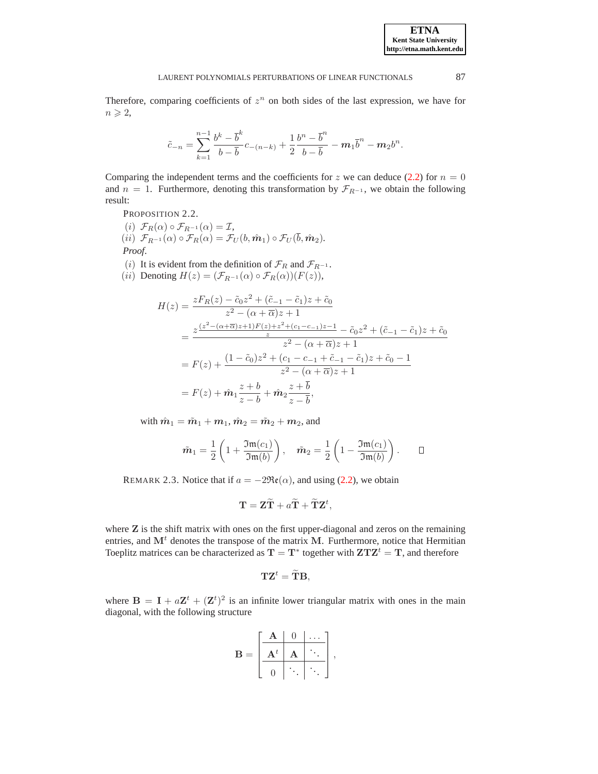Therefore, comparing coefficients of  $z^n$  on both sides of the last expression, we have for  $n \geqslant 2$ ,

$$
\tilde{c}_{-n} = \sum_{k=1}^{n-1} \frac{b^k - \overline{b}^k}{b - \overline{b}} c_{-(n-k)} + \frac{1}{2} \frac{b^n - \overline{b}^n}{b - \overline{b}} - m_1 \overline{b}^n - m_2 b^n.
$$

Comparing the independent terms and the coefficients for z we can deduce [\(2.2\)](#page-3-1) for  $n = 0$ and  $n = 1$ . Furthermore, denoting this transformation by  $\mathcal{F}_{R^{-1}}$ , we obtain the following result:

PROPOSITION 2.2.

(i)  $\mathcal{F}_R(\alpha) \circ \mathcal{F}_{R^{-1}}(\alpha) = \mathcal{I},$ (ii)  $\mathcal{F}_{R^{-1}}(\alpha) \circ \mathcal{F}_R(\alpha) = \mathcal{F}_U(b, \hat{m}_1) \circ \mathcal{F}_U(\overline{b}, \hat{m}_2)$ *. Proof*.

(i) It is evident from the definition of  $\mathcal{F}_R$  and  $\mathcal{F}_{R^{-1}}$ .

(ii) Denoting  $H(z) = (\mathcal{F}_{R^{-1}}(\alpha) \circ \mathcal{F}_R(\alpha))(F(z)),$ 

$$
H(z) = \frac{zF_R(z) - \tilde{c}_0 z^2 + (\tilde{c}_{-1} - \tilde{c}_1)z + \tilde{c}_0}{z^2 - (\alpha + \overline{\alpha})z + 1}
$$
  
= 
$$
\frac{z^{\frac{(z^2 - (\alpha + \overline{\alpha})z + 1)F(z) + z^2 + (c_1 - c_{-1})z - 1}{z} - \tilde{c}_0 z^2 + (\tilde{c}_{-1} - \tilde{c}_1)z + \tilde{c}_0}}{z^2 - (\alpha + \overline{\alpha})z + 1}
$$
  
= 
$$
F(z) + \frac{(1 - \tilde{c}_0)z^2 + (c_1 - c_{-1} + \tilde{c}_{-1} - \tilde{c}_1)z + \tilde{c}_0 - 1}{z^2 - (\alpha + \overline{\alpha})z + 1}
$$
  
= 
$$
F(z) + \hat{m}_1 \frac{z + b}{z - b} + \hat{m}_2 \frac{z + \overline{b}}{z - \overline{b}},
$$

with  $\hat{m}_1 = \tilde{m}_1 + m_1$ ,  $\hat{m}_2 = \tilde{m}_2 + m_2$ , and

$$
\tilde{m}_1 = \frac{1}{2} \left( 1 + \frac{\mathfrak{Im}(c_1)}{\mathfrak{Im}(b)} \right), \quad \tilde{m}_2 = \frac{1}{2} \left( 1 - \frac{\mathfrak{Im}(c_1)}{\mathfrak{Im}(b)} \right). \qquad \Box
$$

REMARK 2.3. Notice that if  $a = -2\Re(\alpha)$ , and using [\(2.2\)](#page-3-1), we obtain

$$
\mathbf{T} = \mathbf{Z}\widetilde{\mathbf{T}} + a\widetilde{\mathbf{T}} + \widetilde{\mathbf{T}}\mathbf{Z}^t,
$$

where  $Z$  is the shift matrix with ones on the first upper-diagonal and zeros on the remaining entries, and  $M<sup>t</sup>$  denotes the transpose of the matrix M. Furthermore, notice that Hermitian Toeplitz matrices can be characterized as  $T = T^*$  together with  $ZTZ^t = T$ , and therefore

$$
\mathbf{TZ}^t = \widetilde{\mathbf{T}}\mathbf{B},
$$

where  $\mathbf{B} = \mathbf{I} + a\mathbf{Z}^t + (\mathbf{Z}^t)^2$  is an infinite lower triangular matrix with ones in the main diagonal, with the following structure

$$
\mathbf{B} = \begin{bmatrix} \begin{array}{|c|c|} \mathbf{A} & 0 & \cdots \\ \hline \mathbf{A}^t & \mathbf{A} & \ddots \\ \hline 0 & \ddots & \ddots \end{array} \end{bmatrix},
$$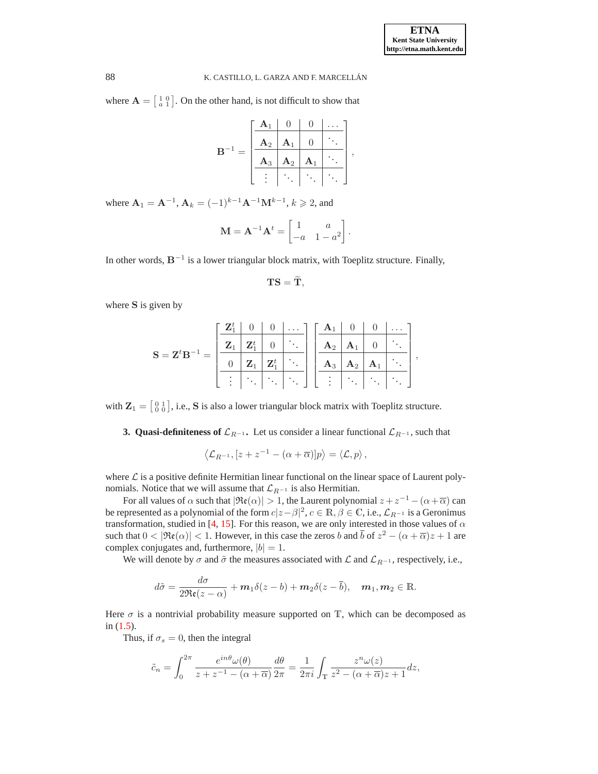where  $\mathbf{A} = \begin{bmatrix} 1 & 0 \\ a & 1 \end{bmatrix}$ . On the other hand, is not difficult to show that

| В | $A_1$       | U              |                  |  |
|---|-------------|----------------|------------------|--|
|   | ${\bf A}_2$ | ${\bf A}_1$    | $\left( \right)$ |  |
|   | ${\bf A}_3$ | $\mathbf{A}_2$ | $A_1$            |  |
|   |             |                |                  |  |

where  $A_1 = A^{-1}$ ,  $A_k = (-1)^{k-1} A^{-1} M^{k-1}$ ,  $k \ge 2$ , and

$$
\mathbf{M} = \mathbf{A}^{-1} \mathbf{A}^t = \begin{bmatrix} 1 & a \\ -a & 1 - a^2 \end{bmatrix}.
$$

In other words,  $B^{-1}$  is a lower triangular block matrix, with Toeplitz structure. Finally,

$$
\mathbf{T}\mathbf{S}=\widetilde{\mathbf{T}},
$$

where S is given by

$$
\mathbf{S} = \mathbf{Z}^t \mathbf{B}^{-1} = \left[ \begin{array}{c|c|c} \mathbf{Z}_1^t & 0 & 0 & \dots \\ \hline \mathbf{Z}_1 & \mathbf{Z}_1^t & 0 & \ddots \\ \hline 0 & \mathbf{Z}_1 & \mathbf{Z}_1^t & \ddots \\ \hline \vdots & \ddots & \ddots & \ddots \end{array} \right] \left[ \begin{array}{c|c|c} \mathbf{A}_1 & 0 & 0 & \dots \\ \hline \mathbf{A}_2 & \mathbf{A}_1 & 0 & \ddots \\ \hline \mathbf{A}_3 & \mathbf{A}_2 & \mathbf{A}_1 & \ddots \\ \hline \vdots & \ddots & \ddots & \ddots \end{array} \right],
$$

<span id="page-5-0"></span>with  $\mathbf{Z}_1 = \begin{bmatrix} 0 & 1 \\ 0 & 0 \end{bmatrix}$ , i.e., S is also a lower triangular block matrix with Toeplitz structure.

**3. Quasi-definiteness of**  $\mathcal{L}_{R^{-1}}$ **.** Let us consider a linear functional  $\mathcal{L}_{R^{-1}}$ , such that

$$
\langle \mathcal{L}_{R^{-1}}, [z+z^{-1}-(\alpha+\overline{\alpha})]p \rangle = \langle \mathcal{L}, p \rangle ,
$$

where  $\mathcal L$  is a positive definite Hermitian linear functional on the linear space of Laurent polynomials. Notice that we will assume that  $\mathcal{L}_{R^{-1}}$  is also Hermitian.

For all values of  $\alpha$  such that  $|\Re(\alpha)| > 1$ , the Laurent polynomial  $z + z^{-1} - (\alpha + \overline{\alpha})$  can be represented as a polynomial of the form  $c|z-\beta|^2$ ,  $c\in\mathbb R, \beta\in\mathbb C$ , i.e.,  $\mathcal L_{R^{-1}}$  is a Geronimus transformation, studied in [\[4](#page-14-17), [15](#page-14-18)]. For this reason, we are only interested in those values of  $\alpha$ such that  $0 < |\Re(\alpha)| < 1$ . However, in this case the zeros b and  $\bar{b}$  of  $z^2 - (\alpha + \bar{\alpha})z + 1$  are complex conjugates and, furthermore,  $|b| = 1$ .

We will denote by  $\sigma$  and  $\tilde{\sigma}$  the measures associated with  $\mathcal{L}$  and  $\mathcal{L}_{R^{-1}}$ , respectively, i.e.,

$$
d\tilde{\sigma} = \frac{d\sigma}{2\Re(\zeta - \alpha)} + m_1 \delta(\zeta - b) + m_2 \delta(\zeta - \overline{b}), \quad m_1, m_2 \in \mathbb{R}.
$$

Here  $\sigma$  is a nontrivial probability measure supported on T, which can be decomposed as in [\(1.5\)](#page-1-2).

Thus, if  $\sigma_s = 0$ , then the integral

$$
\tilde{c}_n = \int_0^{2\pi} \frac{e^{in\theta} \omega(\theta)}{z + z^{-1} - (\alpha + \overline{\alpha})} \frac{d\theta}{2\pi} = \frac{1}{2\pi i} \int_{\mathbb{T}} \frac{z^n \omega(z)}{z^2 - (\alpha + \overline{\alpha})z + 1} dz,
$$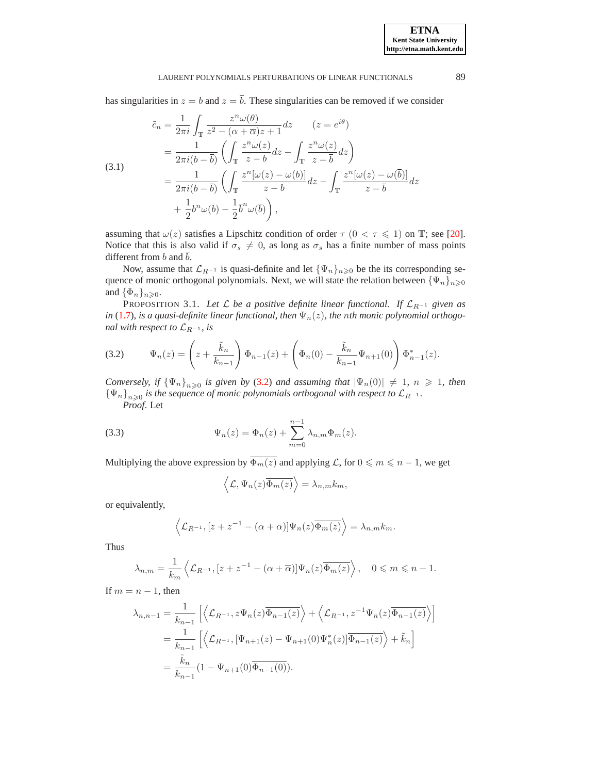has singularities in  $z = b$  and  $z = \overline{b}$ . These singularities can be removed if we consider

<span id="page-6-2"></span>(3.1)  
\n
$$
\tilde{c}_n = \frac{1}{2\pi i} \int_{\mathbb{T}} \frac{z^n \omega(\theta)}{z^2 - (\alpha + \overline{\alpha})z + 1} dz \qquad (z = e^{i\theta})
$$
\n
$$
= \frac{1}{2\pi i (b - \overline{b})} \left( \int_{\mathbb{T}} \frac{z^n \omega(z)}{z - b} dz - \int_{\mathbb{T}} \frac{z^n \omega(z)}{z - \overline{b}} dz \right)
$$
\n
$$
= \frac{1}{2\pi i (b - \overline{b})} \left( \int_{\mathbb{T}} \frac{z^n [\omega(z) - \omega(b)]}{z - b} dz - \int_{\mathbb{T}} \frac{z^n [\omega(z) - \omega(\overline{b})]}{z - \overline{b}} dz \right)
$$
\n
$$
+ \frac{1}{2} b^n \omega(b) - \frac{1}{2} \overline{b}^n \omega(\overline{b}) \right),
$$

assuming that  $\omega(z)$  satisfies a Lipschitz condition of order  $\tau$  ( $0 < \tau \leq 1$ ) on T; see [\[20](#page-15-2)]. Notice that this is also valid if  $\sigma_s \neq 0$ , as long as  $\sigma_s$  has a finite number of mass points different from b and  $\overline{b}$ .

Now, assume that  $\mathcal{L}_{R^{-1}}$  is quasi-definite and let  $\{\Psi_n\}_{n\geq 0}$  be the its corresponding sequence of monic orthogonal polynomials. Next, we will state the relation between  ${\Psi_n}_{n\geqslant 0}$ and  $\{\Phi_n\}_{n\geqslant 0}$ .

PROPOSITION 3.1. Let  $\mathcal L$  *be a positive definite linear functional. If*  $\mathcal L_{R^{-1}}$  *given as in* [\(1.7\)](#page-2-0)*, is a quasi-definite linear functional, then*  $\Psi_n(z)$ *, the nth monic polynomial orthogonal with respect to*  $\mathcal{L}_{R^{-1}}$ *, is* 

<span id="page-6-0"></span>(3.2) 
$$
\Psi_n(z) = \left(z + \frac{\tilde{k}_n}{k_{n-1}}\right) \Phi_{n-1}(z) + \left(\Phi_n(0) - \frac{\tilde{k}_n}{k_{n-1}} \Psi_{n+1}(0)\right) \Phi_{n-1}^*(z).
$$

*Conversely, if*  ${\Psi_n}_{n\geqslant 0}$  *is given by* [\(3.2\)](#page-6-0) *and assuming that*  $|\Psi_n(0)| \neq 1$ ,  $n \geqslant 1$ , *then*  ${\{\Psi_n\}}_{n\geqslant0}$  is the sequence of monic polynomials orthogonal with respect to  $\mathcal{L}_{R^{-1}}$ . *Proof*. Let

<span id="page-6-1"></span>(3.3) 
$$
\Psi_n(z) = \Phi_n(z) + \sum_{m=0}^{n-1} \lambda_{n,m} \Phi_m(z).
$$

Multiplying the above expression by  $\overline{\Phi_m(z)}$  and applying  $\mathcal L$ , for  $0 \leq m \leq n - 1$ , we get

$$
\langle \mathcal{L}, \Psi_n(z) \overline{\Phi_m(z)} \rangle = \lambda_{n,m} k_m,
$$

or equivalently,

$$
\left\langle \mathcal{L}_{R^{-1}}, [z+z^{-1}-(\alpha+\overline{\alpha})]\Psi_n(z)\overline{\Phi_m(z)} \right\rangle = \lambda_{n,m}k_m.
$$

Thus

$$
\lambda_{n,m} = \frac{1}{k_m} \left\langle \mathcal{L}_{R^{-1}}, [z + z^{-1} - (\alpha + \overline{\alpha})] \Psi_n(z) \overline{\Phi_m(z)} \right\rangle, \quad 0 \leq m \leq n - 1.
$$

If  $m = n - 1$ , then

$$
\lambda_{n,n-1} = \frac{1}{k_{n-1}} \left[ \left\langle \mathcal{L}_{R^{-1}}, z\Psi_n(z) \overline{\Phi_{n-1}(z)} \right\rangle + \left\langle \mathcal{L}_{R^{-1}}, z^{-1} \Psi_n(z) \overline{\Phi_{n-1}(z)} \right\rangle \right]
$$
  
= 
$$
\frac{1}{k_{n-1}} \left[ \left\langle \mathcal{L}_{R^{-1}}, [\Psi_{n+1}(z) - \Psi_{n+1}(0) \Psi_n^*(z)] \overline{\Phi_{n-1}(z)} \right\rangle + \tilde{k}_n \right]
$$
  
= 
$$
\frac{\tilde{k}_n}{k_{n-1}} (1 - \Psi_{n+1}(0) \overline{\Phi_{n-1}(0)}).
$$

**ETNA Kent State University http://etna.math.kent.edu**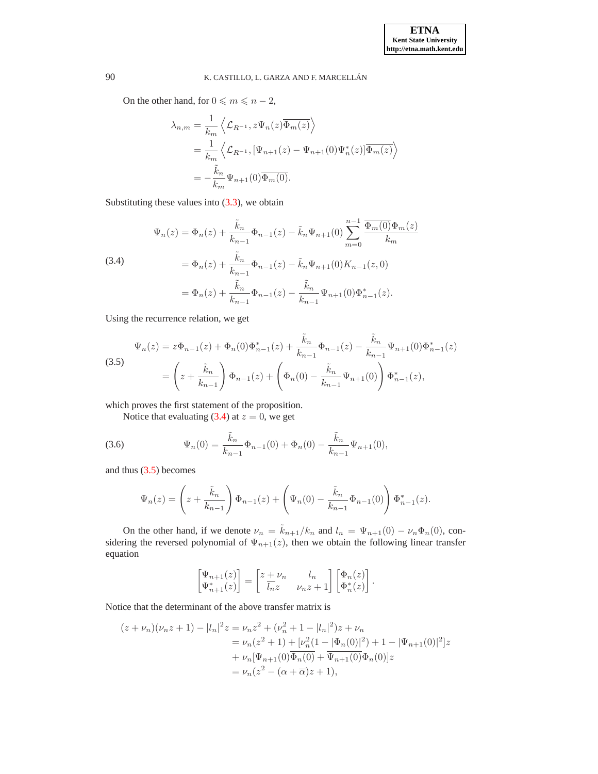On the other hand, for  $0 \le m \le n - 2$ ,

$$
\lambda_{n,m} = \frac{1}{k_m} \left\langle \mathcal{L}_{R^{-1}}, z\Psi_n(z)\overline{\Phi_m(z)} \right\rangle
$$
  
= 
$$
\frac{1}{k_m} \left\langle \mathcal{L}_{R^{-1}}, [\Psi_{n+1}(z) - \Psi_{n+1}(0)\Psi_n^*(z)]\overline{\Phi_m(z)} \right\rangle
$$
  
= 
$$
-\frac{\tilde{k}_n}{k_m} \Psi_{n+1}(0)\overline{\Phi_m(0)}.
$$

Substituting these values into [\(3.3\)](#page-6-1), we obtain

<span id="page-7-0"></span>(3.4)  
\n
$$
\Psi_n(z) = \Phi_n(z) + \frac{\tilde{k}_n}{k_{n-1}} \Phi_{n-1}(z) - \tilde{k}_n \Psi_{n+1}(0) \sum_{m=0}^{n-1} \frac{\overline{\Phi_m(0)} \Phi_m(z)}{k_m}
$$
\n
$$
= \Phi_n(z) + \frac{\tilde{k}_n}{k_{n-1}} \Phi_{n-1}(z) - \tilde{k}_n \Psi_{n+1}(0) K_{n-1}(z, 0)
$$
\n
$$
= \Phi_n(z) + \frac{\tilde{k}_n}{k_{n-1}} \Phi_{n-1}(z) - \frac{\tilde{k}_n}{k_{n-1}} \Psi_{n+1}(0) \Phi_{n-1}^*(z).
$$

Using the recurrence relation, we get

<span id="page-7-1"></span>(3.5)  
\n
$$
\Psi_n(z) = z\Phi_{n-1}(z) + \Phi_n(0)\Phi_{n-1}^*(z) + \frac{\tilde{k}_n}{k_{n-1}}\Phi_{n-1}(z) - \frac{\tilde{k}_n}{k_{n-1}}\Psi_{n+1}(0)\Phi_{n-1}^*(z)
$$
\n
$$
= \left(z + \frac{\tilde{k}_n}{k_{n-1}}\right)\Phi_{n-1}(z) + \left(\Phi_n(0) - \frac{\tilde{k}_n}{k_{n-1}}\Psi_{n+1}(0)\right)\Phi_{n-1}^*(z),
$$

which proves the first statement of the proposition.

Notice that evaluating [\(3.4\)](#page-7-0) at  $z = 0$ , we get

<span id="page-7-2"></span>(3.6) 
$$
\Psi_n(0) = \frac{\tilde{k}_n}{k_{n-1}} \Phi_{n-1}(0) + \Phi_n(0) - \frac{\tilde{k}_n}{k_{n-1}} \Psi_{n+1}(0),
$$

and thus [\(3.5\)](#page-7-1) becomes

$$
\Psi_n(z) = \left(z + \frac{\tilde{k}_n}{k_{n-1}}\right) \Phi_{n-1}(z) + \left(\Psi_n(0) - \frac{\tilde{k}_n}{k_{n-1}} \Phi_{n-1}(0)\right) \Phi_{n-1}^*(z).
$$

On the other hand, if we denote  $\nu_n = \tilde{k}_{n+1}/k_n$  and  $l_n = \Psi_{n+1}(0) - \nu_n \Phi_n(0)$ , considering the reversed polynomial of  $\Psi_{n+1}(z)$ , then we obtain the following linear transfer equation

$$
\begin{bmatrix} \Psi_{n+1}(z) \\ \Psi_{n+1}^*(z) \end{bmatrix} = \begin{bmatrix} z + \nu_n & l_n \\ \overline{l_n} z & \nu_n z + 1 \end{bmatrix} \begin{bmatrix} \Phi_n(z) \\ \Phi_n^*(z) \end{bmatrix}.
$$

Notice that the determinant of the above transfer matrix is

$$
(z + \nu_n)(\nu_n z + 1) - |l_n|^2 z = \nu_n z^2 + (\nu_n^2 + 1 - |l_n|^2)z + \nu_n
$$
  
=  $\nu_n (z^2 + 1) + [\nu_n^2 (1 - |\Phi_n(0)|^2) + 1 - |\Psi_{n+1}(0)|^2]z$   
+  $\nu_n [\Psi_{n+1}(0) \overline{\Phi_n(0)} + \overline{\Psi_{n+1}(0)} \Phi_n(0)]z$   
=  $\nu_n (z^2 - (\alpha + \overline{\alpha})z + 1),$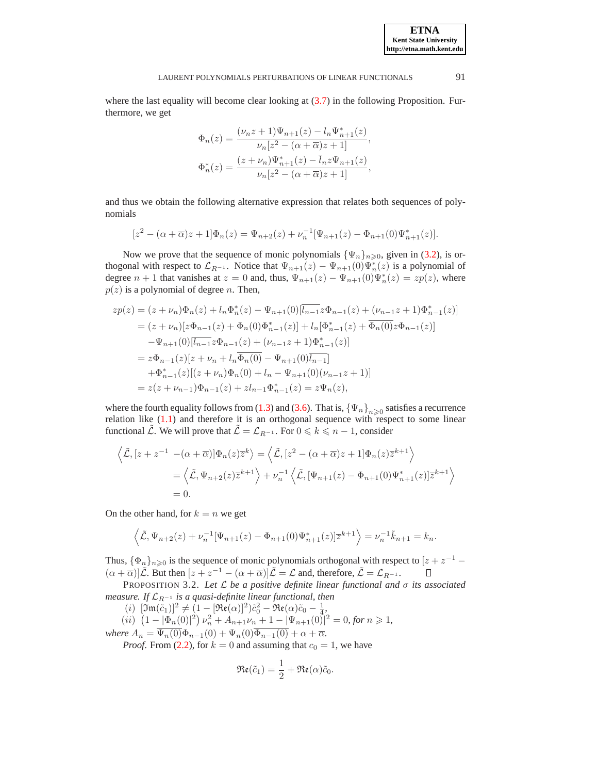where the last equality will become clear looking at  $(3.7)$  in the following Proposition. Furthermore, we get

$$
\begin{aligned} \Phi_n(z)&=\frac{(\nu_n z+1)\Psi_{n+1}(z)-l_n\Psi_{n+1}^*(z)}{\nu_n[z^2-(\alpha+\overline{\alpha})z+1]},\\ \Phi_n^*(z)&=\frac{(z+\nu_n)\Psi_{n+1}^*(z)-\overline{l}_n z \Psi_{n+1}(z)}{\nu_n[z^2-(\alpha+\overline{\alpha})z+1]}, \end{aligned}
$$

and thus we obtain the following alternative expression that relates both sequences of polynomials

$$
[z2 - (\alpha + \overline{\alpha})z + 1]\Phi_n(z) = \Psi_{n+2}(z) + \nu_n^{-1}[\Psi_{n+1}(z) - \Phi_{n+1}(0)\Psi_{n+1}^*(z)].
$$

Now we prove that the sequence of monic polynomials  $\{\Psi_n\}_{n\geq 0}$ , given in [\(3.2\)](#page-6-0), is orthogonal with respect to  $\mathcal{L}_{R^{-1}}$ . Notice that  $\Psi_{n+1}(z) - \Psi_{n+1}(0)\Psi_n^*(z)$  is a polynomial of degree  $n + 1$  that vanishes at  $z = 0$  and, thus,  $\Psi_{n+1}(z) - \Psi_{n+1}(0)\Psi_n^*(z) = zp(z)$ , where  $p(z)$  is a polynomial of degree *n*. Then,

$$
zp(z) = (z + \nu_n)\Phi_n(z) + l_n\Phi_n^*(z) - \Psi_{n+1}(0)[\overline{l_{n-1}}z\Phi_{n-1}(z) + (\nu_{n-1}z + 1)\Phi_{n-1}^*(z)]
$$
  
\n
$$
= (z + \nu_n)[z\Phi_{n-1}(z) + \Phi_n(0)\Phi_{n-1}^*(z)] + l_n[\Phi_{n-1}^*(z) + \overline{\Phi_n(0)}z\Phi_{n-1}(z)]
$$
  
\n
$$
-\Psi_{n+1}(0)[\overline{l_{n-1}}z\Phi_{n-1}(z) + (\nu_{n-1}z + 1)\Phi_{n-1}^*(z)]
$$
  
\n
$$
= z\Phi_{n-1}(z)[z + \nu_n + l_n\overline{\Phi_n(0)} - \Psi_{n+1}(0)\overline{l_{n-1}}]
$$
  
\n
$$
+\Phi_{n-1}^*(z)[(z + \nu_n)\Phi_n(0) + l_n - \Psi_{n+1}(0)(\nu_{n-1}z + 1)]
$$
  
\n
$$
= z(z + \nu_{n-1})\Phi_{n-1}(z) + zl_{n-1}\Phi_{n-1}^*(z) = z\Psi_n(z),
$$

where the fourth equality follows from [\(1.3\)](#page-1-3) and [\(3.6\)](#page-7-2). That is,  $\{\Psi_n\}_{n\geqslant 0}$  satisfies a recurrence relation like [\(1.1\)](#page-0-0) and therefore it is an orthogonal sequence with respect to some linear functional  $\mathcal L$ . We will prove that  $\mathcal L = \mathcal L_{R^{-1}}$ . For  $0 \le k \le n - 1$ , consider

$$
\left\langle \tilde{\mathcal{L}}, [z+z^{-1} - (\alpha + \overline{\alpha})] \Phi_n(z) \overline{z}^k \right\rangle = \left\langle \tilde{\mathcal{L}}, [z^2 - (\alpha + \overline{\alpha})z + 1] \Phi_n(z) \overline{z}^{k+1} \right\rangle
$$
  
=  $\left\langle \tilde{\mathcal{L}}, \Psi_{n+2}(z) \overline{z}^{k+1} \right\rangle + \nu_n^{-1} \left\langle \tilde{\mathcal{L}}, [\Psi_{n+1}(z) - \Phi_{n+1}(0) \Psi_{n+1}^*(z)] \overline{z}^{k+1} \right\rangle$   
= 0.

On the other hand, for  $k = n$  we get

$$
\left\langle \tilde{\mathcal{L}}, \Psi_{n+2}(z) + \nu_n^{-1} [\Psi_{n+1}(z) - \Phi_{n+1}(0) \Psi_{n+1}^*(z)] \overline{z}^{k+1} \right\rangle = \nu_n^{-1} \tilde{k}_{n+1} = k_n.
$$

Thus,  $\{\Phi_n\}_{n\geq 0}$  is the sequence of monic polynomials orthogonal with respect to  $[z + z^{-1} (\alpha + \overline{\alpha})\big|\tilde{\mathcal{L}}.$  But then  $[z + z^{-1} - (\alpha + \overline{\alpha})]\tilde{\mathcal{L}} = \mathcal{L}$  and, therefore,  $\tilde{\mathcal{L}} = \mathcal{L}_{R^{-1}}.$ О

<span id="page-8-0"></span>PROPOSITION 3.2. *Let* L *be a positive definite linear functional and* σ *its associated measure. If*  $\mathcal{L}_{R^{-1}}$  *is a quasi-definite linear functional, then* 

(*i*)  $[\mathfrak{Im}(\tilde{c}_1)]^2 \neq (1 - [\mathfrak{Re}(\alpha)]^2) \tilde{c}_0^2 - \mathfrak{Re}(\alpha) \tilde{c}_0 - \frac{1}{4},$ 

$$
(ii) \left(1 - |\Phi_n(0)|^2\right) \nu_n^2 + A_{n+1} \nu_n + 1 - |\Psi_{n+1}(0)|^2 = 0, \text{ for } n \ge 1,
$$

*where*  $A_n = \Psi_n(0)\Phi_{n-1}(0) + \Psi_n(0)\Phi_{n-1}(0) + \alpha + \overline{\alpha}$ .

*Proof.* From [\(2.2\)](#page-3-1), for  $k = 0$  and assuming that  $c_0 = 1$ , we have

$$
\Re(\tilde{c}_1) = \frac{1}{2} + \Re(\alpha)\tilde{c}_0.
$$

**ETNA Kent State University http://etna.math.kent.edu**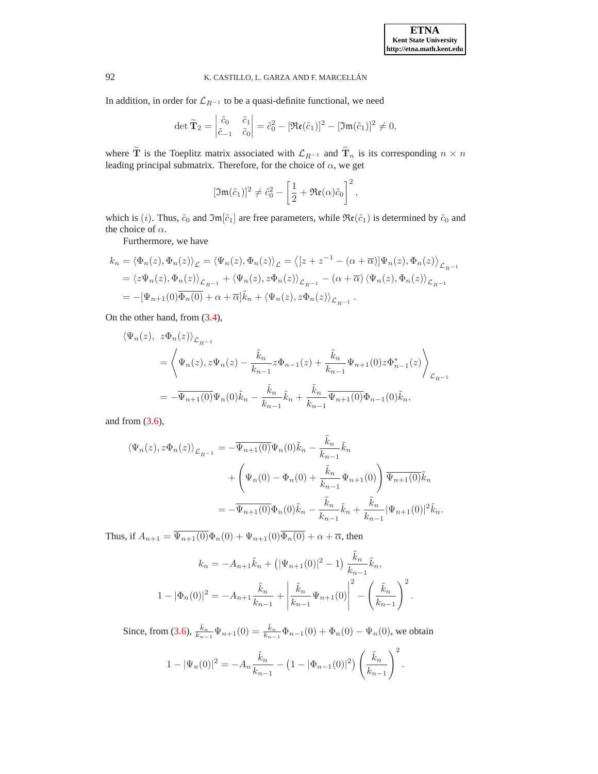In addition, in order for  $\mathcal{L}_{R^{-1}}$  to be a quasi-definite functional, we need

$$
\det \widetilde{\mathbf{T}}_2 = \begin{vmatrix} \widetilde{c}_0 & \widetilde{c}_1 \\ \widetilde{c}_{-1} & \widetilde{c}_0 \end{vmatrix} = \widetilde{c}_0^2 - [\mathfrak{Re}(\widetilde{c}_1)]^2 - [\mathfrak{Im}(\widetilde{c}_1)]^2 \neq 0,
$$

where  $\tilde{T}$  is the Toeplitz matrix associated with  $\mathcal{L}_{R^{-1}}$  and  $\tilde{T}_n$  is its corresponding  $n \times n$ leading principal submatrix. Therefore, for the choice of  $\alpha$ , we get

$$
[\mathfrak{Im}(\tilde{c}_1)]^2 \neq \tilde{c}_0^2 - \left[\frac{1}{2} + \mathfrak{Re}(\alpha)\tilde{c}_0\right]^2,
$$

which is (i). Thus,  $\tilde{c}_0$  and  $\mathfrak{Im}[\tilde{c}_1]$  are free parameters, while  $\mathfrak{Re}(\tilde{c}_1)$  is determined by  $\tilde{c}_0$  and the choice of  $\alpha$ .

Furthermore, we have

$$
k_n = \langle \Phi_n(z), \Phi_n(z) \rangle_{\mathcal{L}} = \langle \Psi_n(z), \Phi_n(z) \rangle_{\mathcal{L}} = \langle [z + z^{-1} - (\alpha + \overline{\alpha})] \Psi_n(z), \Phi_n(z) \rangle_{\mathcal{L}_{R^{-1}}}
$$
  
=  $\langle z \Psi_n(z), \Phi_n(z) \rangle_{\mathcal{L}_{R^{-1}}} + \langle \Psi_n(z), z \Phi_n(z) \rangle_{\mathcal{L}_{R^{-1}}} - (\alpha + \overline{\alpha}) \langle \Psi_n(z), \Phi_n(z) \rangle_{\mathcal{L}_{R^{-1}}}$   
=  $-[\Psi_{n+1}(0) \overline{\Phi_n(0)} + \alpha + \overline{\alpha}] \tilde{k}_n + \langle \Psi_n(z), z \Phi_n(z) \rangle_{\mathcal{L}_{R^{-1}}}$ .

On the other hand, from [\(3.4\)](#page-7-0),

$$
\langle \Psi_n(z), z\Phi_n(z) \rangle_{\mathcal{L}_{R^{-1}}} \n= \left\langle \Psi_n(z), z\Psi_n(z) - \frac{\tilde{k}_n}{k_{n-1}} z \Phi_{n-1}(z) + \frac{\tilde{k}_n}{k_{n-1}} \Psi_{n+1}(0) z \Phi_{n-1}^*(z) \right\rangle_{\mathcal{L}_{R^{-1}}} \n= -\overline{\Psi_{n+1}(0)} \Psi_n(0) \tilde{k}_n - \frac{\tilde{k}_n}{k_{n-1}} \tilde{k}_n + \frac{\tilde{k}_n}{k_{n-1}} \overline{\Psi_{n+1}(0)} \Phi_{n-1}(0) \tilde{k}_n,
$$

and from  $(3.6)$ ,

$$
\langle \Psi_n(z), z\Phi_n(z) \rangle_{\mathcal{L}_{R^{-1}}} = -\overline{\Psi_{n+1}(0)} \Psi_n(0)\tilde{k}_n - \frac{\tilde{k}_n}{k_{n-1}} \tilde{k}_n + \left( \Psi_n(0) - \Phi_n(0) + \frac{\tilde{k}_n}{k_{n-1}} \Psi_{n+1}(0) \right) \overline{\Psi_{n+1}(0)} \tilde{k}_n = -\overline{\Psi_{n+1}(0)} \Phi_n(0)\tilde{k}_n - \frac{\tilde{k}_n}{k_{n-1}} \tilde{k}_n + \frac{\tilde{k}_n}{k_{n-1}} |\Psi_{n+1}(0)|^2 \tilde{k}_n.
$$

Thus, if  $A_{n+1} = \overline{\Psi_{n+1}(0)} \Phi_n(0) + \Psi_{n+1}(0) \overline{\Phi_n(0)} + \alpha + \overline{\alpha}$ , then

$$
k_n = -A_{n+1}\tilde{k}_n + (|\Psi_{n+1}(0)|^2 - 1) \frac{\tilde{k}_n}{k_{n-1}} \tilde{k}_n,
$$
  

$$
1 - |\Phi_n(0)|^2 = -A_{n+1} \frac{\tilde{k}_n}{k_{n-1}} + \left| \frac{\tilde{k}_n}{k_{n-1}} \Psi_{n+1}(0) \right|^2 - \left( \frac{\tilde{k}_n}{k_{n-1}} \right)^2.
$$

Since, from [\(3.6\)](#page-7-2),  $\frac{\tilde{k}_n}{k_{n-1}}\Psi_{n+1}(0) = \frac{\tilde{k}_n}{k_{n-1}}\Phi_{n-1}(0) + \Phi_n(0) - \Psi_n(0)$ , we obtain

$$
1 - |\Psi_n(0)|^2 = -A_n \frac{\tilde{k}_n}{k_{n-1}} - (1 - |\Phi_{n-1}(0)|^2) \left(\frac{\tilde{k}_n}{k_{n-1}}\right)^2.
$$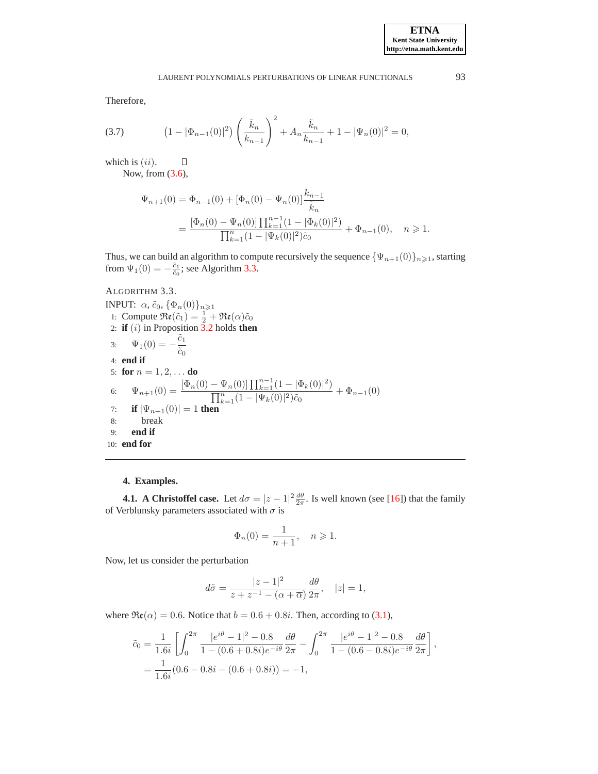,

Therefore,

<span id="page-10-1"></span>(3.7) 
$$
(1 - |\Phi_{n-1}(0)|^2) \left(\frac{\tilde{k}_n}{k_{n-1}}\right)^2 + A_n \frac{\tilde{k}_n}{k_{n-1}} + 1 - |\Psi_n(0)|^2 = 0,
$$

which is  $(ii)$ .

Now, from [\(3.6\)](#page-7-2),

П

$$
\Psi_{n+1}(0) = \Phi_{n-1}(0) + [\Phi_n(0) - \Psi_n(0)] \frac{k_{n-1}}{\tilde{k}_n}
$$
  
= 
$$
\frac{[\Phi_n(0) - \Psi_n(0)] \prod_{k=1}^{n-1} (1 - |\Phi_k(0)|^2)}{\prod_{k=1}^n (1 - |\Psi_k(0)|^2) \tilde{c}_0} + \Phi_{n-1}(0), \quad n \ge 1.
$$

Thus, we can build an algorithm to compute recursively the sequence  ${\Psi_{n+1}(0)}_{n\geq 1}$ , starting from  $\Psi_1(0) = -\frac{\tilde{c}_1}{\tilde{c}_0}$ ; see Algorithm [3.3.](#page-10-2)

# <span id="page-10-2"></span>ALGORITHM 3.3. INPUT:  $\alpha$ ,  $\tilde{c}_0$ ,  $\{\Phi_n(0)\}_{n\geq 1}$ 1: Compute  $\Re(\tilde{c}_1) = \frac{1}{2} + \Re(\alpha)\tilde{c}_0$ 2: **if**  $(i)$  in Proposition  $\overline{3}$ . 2 holds **then** 3:  $\Psi_1(0) = -\frac{\tilde{c}_1}{\tilde{c}_1}$  $\tilde{c}_0$ 4: **end if** 5: **for**  $n = 1, 2, ...$  **do** 6:  $\Psi_{n+1}(0) = \frac{[\Phi_n(0) - \Psi_n(0)] \prod_{k=1}^{n-1} (1 - |\Phi_k(0)|^2)}{\prod_{k=1}^{n} (1 - |\Psi_k(0)|^2)}$  $\frac{\Gamma_{n}^{n}(0)+\Gamma_{k=1}(\pm 1-\mp k(0))}{\prod_{k=1}^{n}(1-|\Psi_{k}(0)|^{2})\tilde{c}_{0}}+\Phi_{n-1}(0)$ 7: **if**  $|\Psi_{n+1}(0)| = 1$  **then** 8: break 9: **end if** 10: **end for**

### **4. Examples.**

<span id="page-10-0"></span>**4.1.** A Christoffel case. Let  $d\sigma = |z - 1|^2 \frac{d\theta}{2\pi}$ . Is well known (see [\[16\]](#page-14-3)) that the family of Verblunsky parameters associated with  $\sigma$  is

$$
\Phi_n(0) = \frac{1}{n+1}, \quad n \geqslant 1.
$$

Now, let us consider the perturbation

$$
d\tilde{\sigma} = \frac{|z - 1|^2}{z + z^{-1} - (\alpha + \overline{\alpha})} \frac{d\theta}{2\pi}, \quad |z| = 1,
$$

where  $\Re(\alpha) = 0.6$ . Notice that  $b = 0.6 + 0.8i$ . Then, according to [\(3.1\)](#page-6-2),

$$
\tilde{c}_0 = \frac{1}{1.6i} \left[ \int_0^{2\pi} \frac{|e^{i\theta} - 1|^2 - 0.8}{1 - (0.6 + 0.8i)e^{-i\theta}} \frac{d\theta}{2\pi} - \int_0^{2\pi} \frac{|e^{i\theta} - 1|^2 - 0.8}{1 - (0.6 - 0.8i)e^{-i\theta}} \frac{d\theta}{2\pi} \right]
$$
  
=  $\frac{1}{1.6i} (0.6 - 0.8i - (0.6 + 0.8i)) = -1,$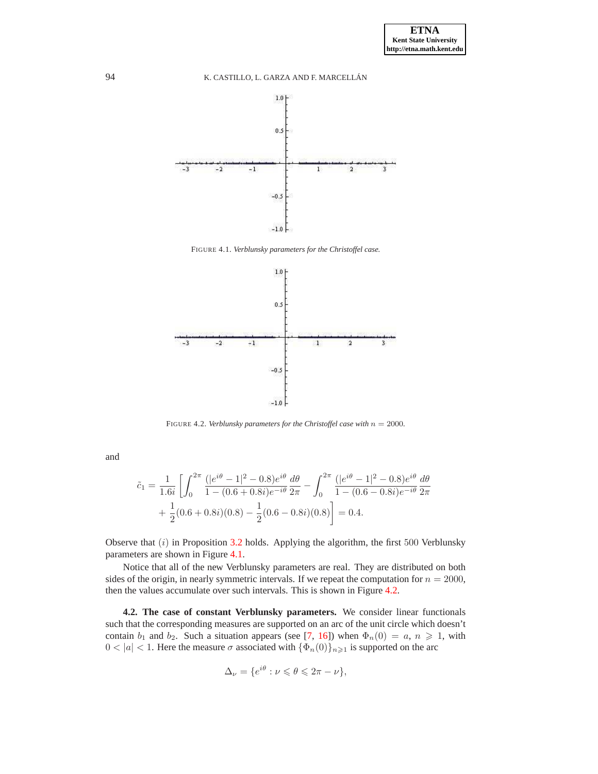

FIGURE 4.1. *Verblunsky parameters for the Christoffel case.*

<span id="page-11-0"></span>

<span id="page-11-1"></span>FIGURE 4.2. *Verblunsky parameters for the Christoffel case with*  $n = 2000$ *.* 

and

$$
\tilde{c}_1 = \frac{1}{1.6i} \left[ \int_0^{2\pi} \frac{(|e^{i\theta} - 1|^2 - 0.8)e^{i\theta}}{1 - (0.6 + 0.8i)e^{-i\theta}} \frac{d\theta}{2\pi} - \int_0^{2\pi} \frac{(|e^{i\theta} - 1|^2 - 0.8)e^{i\theta}}{1 - (0.6 - 0.8i)e^{-i\theta}} \frac{d\theta}{2\pi} + \frac{1}{2}(0.6 + 0.8i)(0.8) - \frac{1}{2}(0.6 - 0.8i)(0.8) \right] = 0.4.
$$

Observe that  $(i)$  in Proposition [3.2](#page-8-0) holds. Applying the algorithm, the first 500 Verblunsky parameters are shown in Figure [4.1.](#page-11-0)

Notice that all of the new Verblunsky parameters are real. They are distributed on both sides of the origin, in nearly symmetric intervals. If we repeat the computation for  $n = 2000$ , then the values accumulate over such intervals. This is shown in Figure [4.2.](#page-11-1)

**4.2. The case of constant Verblunsky parameters.** We consider linear functionals such that the corresponding measures are supported on an arc of the unit circle which doesn't contain  $b_1$  and  $b_2$ . Such a situation appears (see [\[7](#page-14-0), [16\]](#page-14-3)) when  $\Phi_n(0) = a, n \ge 1$ , with  $0 < |a| < 1$ . Here the measure  $\sigma$  associated with  $\{\Phi_n(0)\}_{n \geq 1}$  is supported on the arc

$$
\Delta_{\nu} = \{ e^{i\theta} : \nu \leq \theta \leq 2\pi - \nu \},\
$$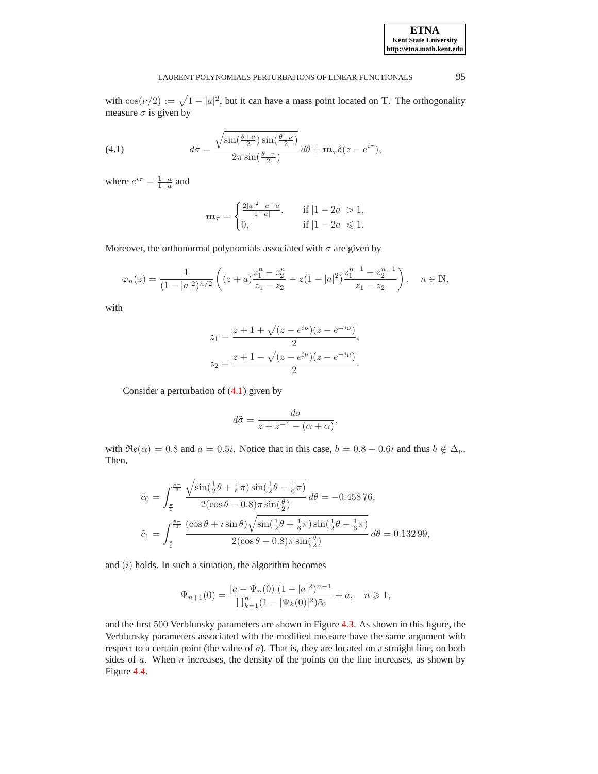### LAURENT POLYNOMIALS PERTURBATIONS OF LINEAR FUNCTIONALS 95

with  $\cos(\nu/2) := \sqrt{1 - |a|^2}$ , but it can have a mass point located on T. The orthogonality measure  $\sigma$  is given by

<span id="page-12-0"></span>(4.1) 
$$
d\sigma = \frac{\sqrt{\sin(\frac{\theta+\nu}{2})\sin(\frac{\theta-\nu}{2})}}{2\pi\sin(\frac{\theta-\tau}{2})}d\theta + \mathbf{m}_{\tau}\delta(z - e^{i\tau}),
$$

where  $e^{i\tau} = \frac{1-a}{1-\overline{a}}$  and

$$
\mathbf{m}_{\tau} = \begin{cases} \frac{2|a|^2 - a - \overline{a}}{|1 - a|}, & \text{if } |1 - 2a| > 1, \\ 0, & \text{if } |1 - 2a| \leq 1. \end{cases}
$$

Moreover, the orthonormal polynomials associated with  $\sigma$  are given by

$$
\varphi_n(z) = \frac{1}{(1-|a|^2)^{n/2}} \left( (z+a) \frac{z_1^n - z_2^n}{z_1 - z_2} - z(1-|a|^2) \frac{z_1^{n-1} - z_2^{n-1}}{z_1 - z_2} \right), \quad n \in \mathbb{N},
$$

with

$$
z_1 = \frac{z + 1 + \sqrt{(z - e^{i\nu})(z - e^{-i\nu})}}{2},
$$
  

$$
z_2 = \frac{z + 1 - \sqrt{(z - e^{i\nu})(z - e^{-i\nu})}}{2}.
$$

Consider a perturbation of [\(4.1\)](#page-12-0) given by

$$
d\tilde{\sigma} = \frac{d\sigma}{z + z^{-1} - (\alpha + \overline{\alpha})},
$$

with  $\Re(\alpha) = 0.8$  and  $a = 0.5i$ . Notice that in this case,  $b = 0.8 + 0.6i$  and thus  $b \notin \Delta_{\nu}$ . Then,

$$
\tilde{c}_0 = \int_{\frac{\pi}{3}}^{\frac{5\pi}{3}} \frac{\sqrt{\sin(\frac{1}{2}\theta + \frac{1}{6}\pi)\sin(\frac{1}{2}\theta - \frac{1}{6}\pi)}}{2(\cos\theta - 0.8)\pi\sin(\frac{\theta}{2})} d\theta = -0.45876,
$$
  

$$
\tilde{c}_1 = \int_{\frac{\pi}{3}}^{\frac{5\pi}{3}} \frac{(\cos\theta + i\sin\theta)\sqrt{\sin(\frac{1}{2}\theta + \frac{1}{6}\pi)\sin(\frac{1}{2}\theta - \frac{1}{6}\pi)}}{2(\cos\theta - 0.8)\pi\sin(\frac{\theta}{2})} d\theta = 0.13299,
$$

and  $(i)$  holds. In such a situation, the algorithm becomes

$$
\Psi_{n+1}(0) = \frac{[a - \Psi_n(0)](1 - |a|^2)^{n-1}}{\prod_{k=1}^n (1 - |\Psi_k(0)|^2)\tilde{c}_0} + a, \quad n \geq 1,
$$

and the first 500 Verblunsky parameters are shown in Figure [4.3.](#page-13-0) As shown in this figure, the Verblunsky parameters associated with the modified measure have the same argument with respect to a certain point (the value of  $a$ ). That is, they are located on a straight line, on both sides of  $a$ . When  $n$  increases, the density of the points on the line increases, as shown by Figure [4.4.](#page-13-1)

**ETNA Kent State University http://etna.math.kent.edu**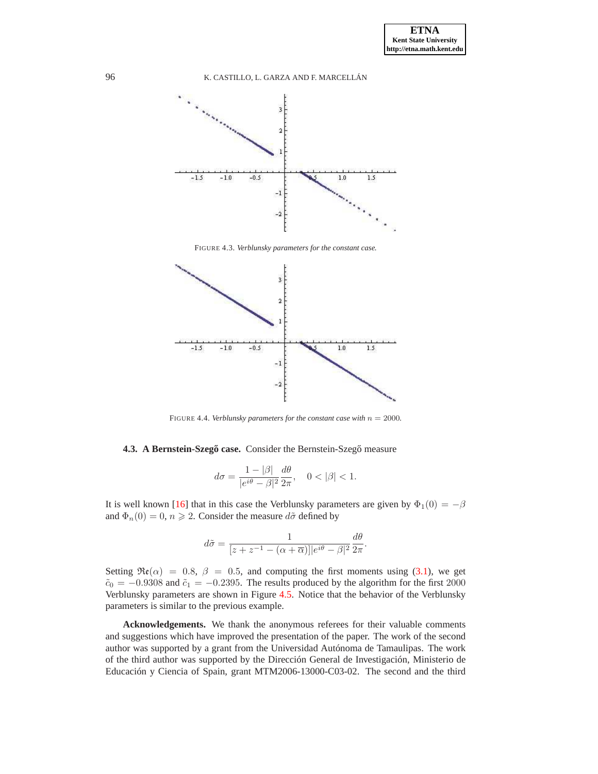

FIGURE 4.3. *Verblunsky parameters for the constant case.*

<span id="page-13-0"></span>

<span id="page-13-1"></span>FIGURE 4.4. *Verblunsky parameters for the constant case with*  $n = 2000$ *.* 

### **4.3. A Bernstein-Szegő case.** Consider the Bernstein-Szegő measure

$$
d\sigma = \frac{1 - |\beta|}{|e^{i\theta} - \beta|^2} \frac{d\theta}{2\pi}, \quad 0 < |\beta| < 1.
$$

It is well known [\[16\]](#page-14-3) that in this case the Verblunsky parameters are given by  $\Phi_1(0) = -\beta$ and  $\Phi_n(0) = 0, n \ge 2$ . Consider the measure  $d\tilde{\sigma}$  defined by

$$
d\tilde{\sigma} = \frac{1}{[z + z^{-1} - (\alpha + \overline{\alpha})]|e^{i\theta} - \beta|^2} \frac{d\theta}{2\pi}.
$$

Setting  $\Re(\alpha) = 0.8$ ,  $\beta = 0.5$ , and computing the first moments using [\(3.1\)](#page-6-2), we get  $\tilde{c}_0 = -0.9308$  and  $\tilde{c}_1 = -0.2395$ . The results produced by the algorithm for the first 2000 Verblunsky parameters are shown in Figure [4.5.](#page-14-19) Notice that the behavior of the Verblunsky parameters is similar to the previous example.

**Acknowledgements.** We thank the anonymous referees for their valuable comments and suggestions which have improved the presentation of the paper. The work of the second author was supported by a grant from the Universidad Autónoma de Tamaulipas. The work of the third author was supported by the Dirección General de Investigación, Ministerio de Educación y Ciencia of Spain, grant MTM2006-13000-C03-02. The second and the third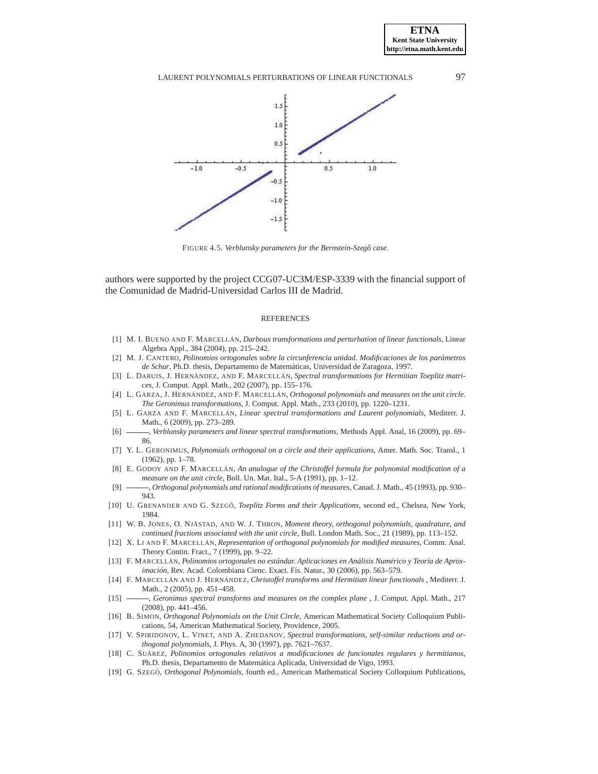### LAURENT POLYNOMIALS PERTURBATIONS OF LINEAR FUNCTIONALS 97



<span id="page-14-19"></span>FIGURE 4.5. *Verblunsky parameters for the Bernstein-Szegő case*.

authors were supported by the project CCG07-UC3M/ESP-3339 with the financial support of the Comunidad de Madrid-Universidad Carlos III de Madrid.

#### **REFERENCES**

- <span id="page-14-11"></span>[1] M. I. BUENO AND F. MARCELLÁN, *Darboux transformations and perturbation of linear functionals*, Linear Algebra Appl., 384 (2004), pp. 215–242.
- <span id="page-14-15"></span>[2] M. J. CANTERO, *Polinomios ortogonales sobre la circunferencia unidad. Modificaciones de los parámetros de Schur*, Ph.D. thesis, Departamento de Matemáticas, Universidad de Zaragoza, 1997.
- <span id="page-14-6"></span>[3] L. DARUIS, J. HERNÁNDEZ, AND F. MARCELLÁN, *Spectral transformations for Hermitian Toeplitz matrices*, J. Comput. Appl. Math., 202 (2007), pp. 155–176.
- <span id="page-14-17"></span>[4] L. GARZA, J. HERNÁNDEZ, AND F. MARCELLÁN, *Orthogonal polynomials and measures on the unit circle. The Geronimus transformations*, J. Comput. Appl. Math., 233 (2010), pp. 1220–1231.
- <span id="page-14-13"></span>[5] L. GARZA AND F. MARCELLÁN, *Linear spectral transformations and Laurent polynomials*, Mediterr. J. Math., 6 (2009), pp. 273–289.
- <span id="page-14-14"></span>[6] , *Verblunsky parameters and linear spectral transformations*, Methods Appl. Anal, 16 (2009), pp. 69– 86.
- <span id="page-14-0"></span>[7] Y. L. GERONIMUS, *Polynomials orthogonal on a circle and their applications*, Amer. Math. Soc. Transl., 1 (1962), pp. 1–78.
- <span id="page-14-7"></span>[8] E. GODOY AND F. MARCELLÁN, *An analogue of the Christoffel formula for polynomial modification of a measure on the unit circle*, Boll. Un. Mat. Ital., 5-A (1991), pp. 1–12.
- [9] , *Orthogonal polynomials and rational modifications of measures*, Canad. J. Math., 45 (1993), pp. 930– 943.
- <span id="page-14-8"></span><span id="page-14-2"></span>[10] U. GRENANDER AND G. SZEGO˝ , *Toeplitz Forms and their Applications*, second ed., Chelsea, New York, 1984.
- <span id="page-14-1"></span>[11] W. B. JONES, O. NJÅSTAD, AND W. J. THRON, *Moment theory, orthogonal polynomials, quadrature, and continued fractions associated with the unit circle*, Bull. London Math. Soc., 21 (1989), pp. 113–152.
- <span id="page-14-9"></span>[12] X. LI AND F. MARCELLÁN, *Representation of orthogonal polynomials for modified measures*, Comm. Anal. Theory Contin. Fract., 7 (1999), pp. 9–22.
- <span id="page-14-5"></span>[13] F. MARCELLÁN, *Polinomios ortogonales no estándar. Aplicaciones en Análisis Numérico y Teoría de Aproximación*, Rev. Acad. Colombiana Cienc. Exact. Fís. Natur., 30 (2006), pp. 563–579.
- <span id="page-14-10"></span>[14] F. MARCELLÁN AND J. HERNÁNDEZ, *Christoffel transforms and Hermitian linear functionals* , Mediterr. J. Math., 2 (2005), pp. 451–458.
- <span id="page-14-18"></span>[15] , *Geronimus spectral transforms and measures on the complex plane* , J. Comput. Appl. Math., 217 (2008), pp. 441–456.
- <span id="page-14-3"></span>[16] B. SIMON, *Orthogonal Polynomials on the Unit Circle*, American Mathematical Society Colloquium Publications, 54, American Mathematical Society, Providence, 2005.
- <span id="page-14-12"></span>[17] V. SPIRIDONOV, L. VINET, AND A. ZHEDANOV, *Spectral transformations, self-similar reductions and orthogonal polynomials*, J. Phys. A, 30 (1997), pp. 7621–7637.
- <span id="page-14-16"></span>[18] C. SUÁREZ, *Polinomios ortogonales relativos a modificaciones de funcionales regulares y hermitianos*, Ph.D. thesis, Departamento de Matemática Aplicada, Universidad de Vigo, 1993.
- <span id="page-14-4"></span>[19] G. SZEGO˝ , *Orthogonal Polynomials*, fourth ed., American Mathematical Society Colloquium Publications,